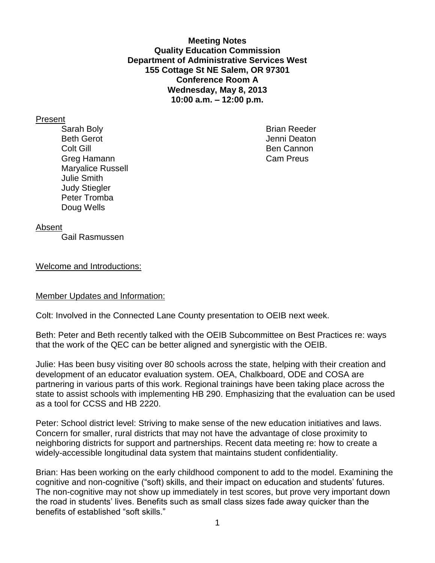**Meeting Notes Quality Education Commission Department of Administrative Services West 155 Cottage St NE Salem, OR 97301 Conference Room A Wednesday, May 8, 2013 10:00 a.m. – 12:00 p.m.**

#### Present

Sarah Boly **Brian Reeder Brian Reeder** Beth Gerot **Gerot** Communication and the Secret Assembly density of the Jenni Deaton Colt Gill Ben Cannon Greg Hamann Cam Preus Maryalice Russell Julie Smith Judy Stiegler Peter Tromba Doug Wells

#### Absent

Gail Rasmussen

Welcome and Introductions:

### Member Updates and Information:

Colt: Involved in the Connected Lane County presentation to OEIB next week.

Beth: Peter and Beth recently talked with the OEIB Subcommittee on Best Practices re: ways that the work of the QEC can be better aligned and synergistic with the OEIB.

Julie: Has been busy visiting over 80 schools across the state, helping with their creation and development of an educator evaluation system. OEA, Chalkboard, ODE and COSA are partnering in various parts of this work. Regional trainings have been taking place across the state to assist schools with implementing HB 290. Emphasizing that the evaluation can be used as a tool for CCSS and HB 2220.

Peter: School district level: Striving to make sense of the new education initiatives and laws. Concern for smaller, rural districts that may not have the advantage of close proximity to neighboring districts for support and partnerships. Recent data meeting re: how to create a widely-accessible longitudinal data system that maintains student confidentiality.

Brian: Has been working on the early childhood component to add to the model. Examining the cognitive and non-cognitive ("soft) skills, and their impact on education and students' futures. The non-cognitive may not show up immediately in test scores, but prove very important down the road in students' lives. Benefits such as small class sizes fade away quicker than the benefits of established "soft skills."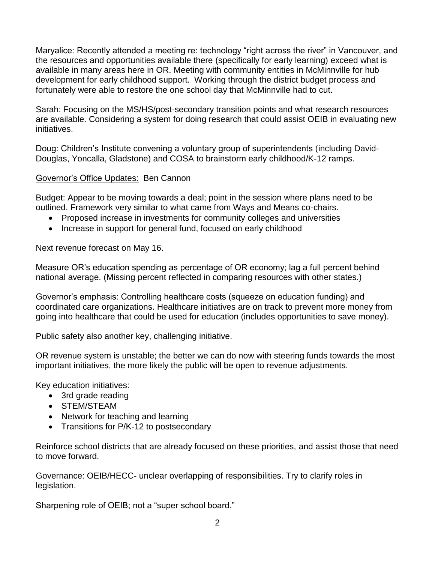Maryalice: Recently attended a meeting re: technology "right across the river" in Vancouver, and the resources and opportunities available there (specifically for early learning) exceed what is available in many areas here in OR. Meeting with community entities in McMinnville for hub development for early childhood support. Working through the district budget process and fortunately were able to restore the one school day that McMinnville had to cut.

Sarah: Focusing on the MS/HS/post-secondary transition points and what research resources are available. Considering a system for doing research that could assist OEIB in evaluating new initiatives.

Doug: Children's Institute convening a voluntary group of superintendents (including David-Douglas, Yoncalla, Gladstone) and COSA to brainstorm early childhood/K-12 ramps.

# Governor's Office Updates: Ben Cannon

Budget: Appear to be moving towards a deal; point in the session where plans need to be outlined. Framework very similar to what came from Ways and Means co-chairs.

- Proposed increase in investments for community colleges and universities
- Increase in support for general fund, focused on early childhood

Next revenue forecast on May 16.

Measure OR's education spending as percentage of OR economy; lag a full percent behind national average. (Missing percent reflected in comparing resources with other states.)

Governor's emphasis: Controlling healthcare costs (squeeze on education funding) and coordinated care organizations. Healthcare initiatives are on track to prevent more money from going into healthcare that could be used for education (includes opportunities to save money).

Public safety also another key, challenging initiative.

OR revenue system is unstable; the better we can do now with steering funds towards the most important initiatives, the more likely the public will be open to revenue adjustments.

Key education initiatives:

- 3rd grade reading
- STEM/STEAM
- Network for teaching and learning
- Transitions for P/K-12 to postsecondary

Reinforce school districts that are already focused on these priorities, and assist those that need to move forward.

Governance: OEIB/HECC- unclear overlapping of responsibilities. Try to clarify roles in legislation.

Sharpening role of OEIB; not a "super school board."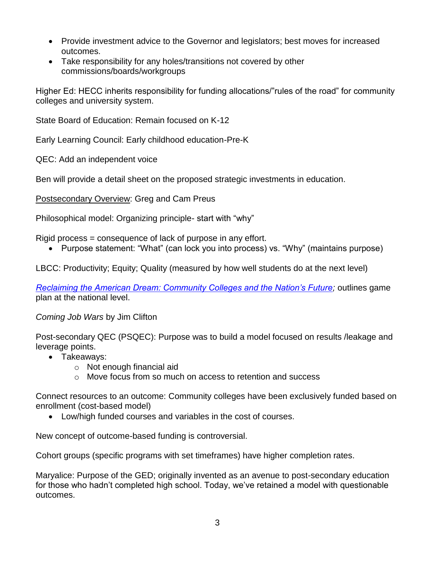- Provide investment advice to the Governor and legislators; best moves for increased outcomes.
- Take responsibility for any holes/transitions not covered by other commissions/boards/workgroups

Higher Ed: HECC inherits responsibility for funding allocations/"rules of the road" for community colleges and university system.

State Board of Education: Remain focused on K-12

Early Learning Council: Early childhood education-Pre-K

QEC: Add an independent voice

Ben will provide a detail sheet on the proposed strategic investments in education.

Postsecondary Overview: Greg and Cam Preus

Philosophical model: Organizing principle- start with "why"

Rigid process = consequence of lack of purpose in any effort.

Purpose statement: "What" (can lock you into process) vs. "Why" (maintains purpose)

LBCC: Productivity; Equity; Quality (measured by how well students do at the next level)

*[Reclaiming the American Dream: Community Colleges and the Nation's Future;](http://www.aacc.nche.edu/aboutcc/21stcenturyreport/21stCenturyReport.pdf)* outlines game plan at the national level.

# *Coming Job Wars* by Jim Clifton

Post-secondary QEC (PSQEC): Purpose was to build a model focused on results /leakage and leverage points.

- Takeaways:
	- o Not enough financial aid
	- o Move focus from so much on access to retention and success

Connect resources to an outcome: Community colleges have been exclusively funded based on enrollment (cost-based model)

Low/high funded courses and variables in the cost of courses.

New concept of outcome-based funding is controversial.

Cohort groups (specific programs with set timeframes) have higher completion rates.

Maryalice: Purpose of the GED; originally invented as an avenue to post-secondary education for those who hadn't completed high school. Today, we've retained a model with questionable outcomes.